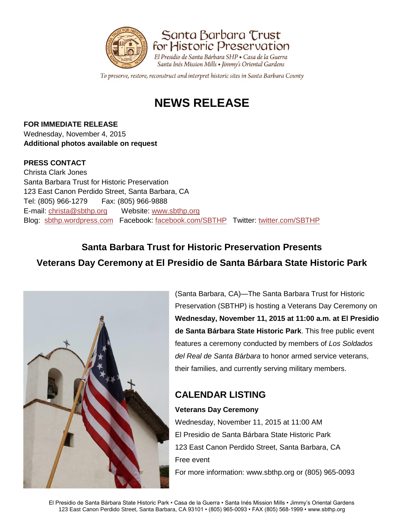



To preserve, restore, reconstruct and interpret historic sites in Santa Barbara County

# **NEWS RELEASE**

**FOR IMMEDIATE RELEASE** Wednesday, November 4, 2015 **Additional photos available on request** 

#### **PRESS CONTACT**

Christa Clark Jones Santa Barbara Trust for Historic Preservation 123 East Canon Perdido Street, Santa Barbara, CA Tel: (805) 966-1279 Fax: (805) 966-9888 E-mail: [christa@sbthp.org](mailto:christa@sbthp.org) Website: [www.sbthp.org](http://www.sbthp.org/) Blog: [sbthp.wordpress.com](http://sbthp.wordpress.com/) Facebook: [facebook.com/SBTHP](http://www.facebook.com/SBTHP) Twitter: [twitter.com/SBTHP](http://twitter.com/SBTHP)

## **Santa Barbara Trust for Historic Preservation Presents Veterans Day Ceremony at El Presidio de Santa Bárbara State Historic Park**



(Santa Barbara, CA)—The Santa Barbara Trust for Historic Preservation (SBTHP) is hosting a Veterans Day Ceremony on **Wednesday, November 11, 2015 at 11:00 a.m. at El Presidio de Santa Bárbara State Historic Park**. This free public event features a ceremony conducted by members of *Los Soldados del Real de Santa B*á*rbara* to honor armed service veterans, their families, and currently serving military members.

### **CALENDAR LISTING**

### **Veterans Day Ceremony**

Wednesday, November 11, 2015 at 11:00 AM El Presidio de Santa Bárbara State Historic Park 123 East Canon Perdido Street, Santa Barbara, CA Free event For more information: www.sbthp.org or (805) 965-0093